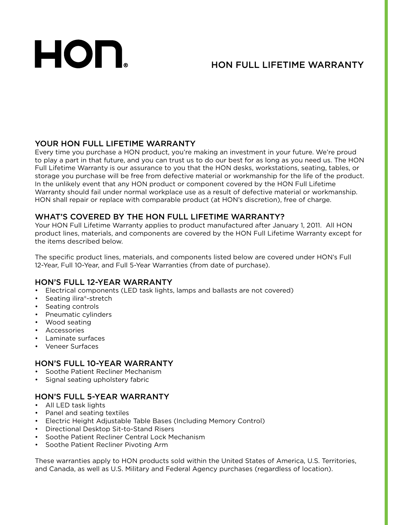# HON.

## HON FULL LIFETIME WARRANTY

#### YOUR HON FULL LIFETIME WARRANTY

Every time you purchase a HON product, you're making an investment in your future. We're proud to play a part in that future, and you can trust us to do our best for as long as you need us. The HON Full Lifetime Warranty is our assurance to you that the HON desks, workstations, seating, tables, or storage you purchase will be free from defective material or workmanship for the life of the product. In the unlikely event that any HON product or component covered by the HON Full Lifetime Warranty should fail under normal workplace use as a result of defective material or workmanship. HON shall repair or replace with comparable product (at HON's discretion), free of charge.

#### WHAT'S COVERED BY THE HON FULL LIFETIME WARRANTY?

Your HON Full Lifetime Warranty applies to product manufactured after January 1, 2011. All HON product lines, materials, and components are covered by the HON Full Lifetime Warranty except for the items described below.

The specific product lines, materials, and components listed below are covered under HON's Full 12-Year, Full 10-Year, and Full 5-Year Warranties (from date of purchase).

#### HON'S FULL 12-YEAR WARRANTY

- Electrical components (LED task lights, lamps and ballasts are not covered)
- Seating ilira®-stretch
- Seating controls
- Pneumatic cylinders
- Wood seating
- Accessories
- Laminate surfaces
- Veneer Surfaces

#### HON'S FULL 10-YEAR WARRANTY

- Soothe Patient Recliner Mechanism
- Signal seating upholstery fabric

#### HON'S FULL 5-YEAR WARRANTY

- All LED task lights
- Panel and seating textiles
- Electric Height Adjustable Table Bases (Including Memory Control)
- Directional Desktop Sit-to-Stand Risers
- Soothe Patient Recliner Central Lock Mechanism
- Soothe Patient Recliner Pivoting Arm

These warranties apply to HON products sold within the United States of America, U.S. Territories, and Canada, as well as U.S. Military and Federal Agency purchases (regardless of location).